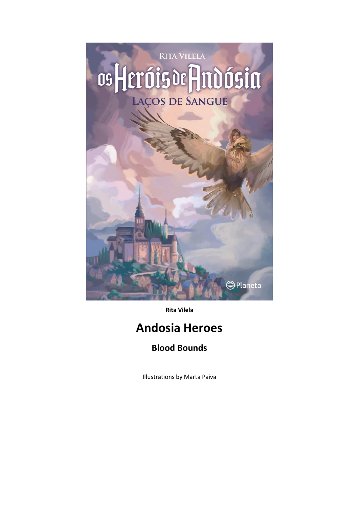

**Rita Vilela**

## **Andosia Heroes**

## **Blood Bounds**

Illustrations by Marta Paiva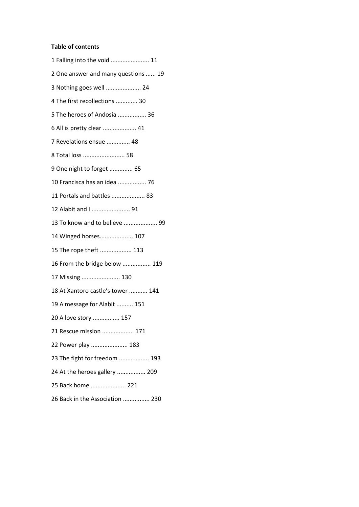## **Table of contents**

| 1 Falling into the void  11         |
|-------------------------------------|
| 2 One answer and many questions  19 |
| 3 Nothing goes well  24             |
| 4 The first recollections  30       |
| 5 The heroes of Andosia  36         |
| 6 All is pretty clear  41           |
| 7 Revelations ensue  48             |
| 8 Total loss  58                    |
| 9 One night to forget  65           |
| 10 Francisca has an idea  76        |
| 11 Portals and battles  83          |
| 12 Alabit and I  91                 |
| 13 To know and to believe  99       |
| 14 Winged horses 107                |
| 15 The rope theft  113              |
| 16 From the bridge below  119       |
| 17 Missing  130                     |
| 18 At Xantoro castle's tower  141   |
| 19 A message for Alabit  151        |
| 20 A love story  157                |
| 21 Rescue mission  171              |
| 22 Power play  183                  |
| 23 The fight for freedom  193       |
| 24 At the heroes gallery  209       |
| 25 Back home  221                   |
|                                     |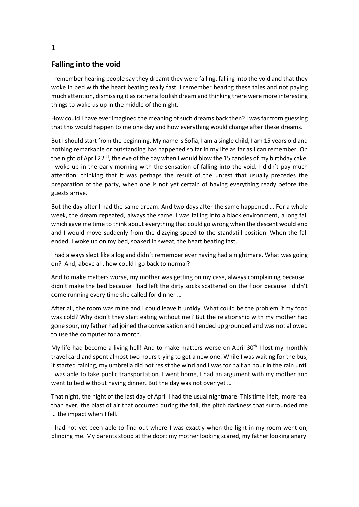## **Falling into the void**

I remember hearing people say they dreamt they were falling, falling into the void and that they woke in bed with the heart beating really fast. I remember hearing these tales and not paying much attention, dismissing it as rather a foolish dream and thinking there were more interesting things to wake us up in the middle of the night.

How could I have ever imagined the meaning of such dreams back then? I was far from guessing that this would happen to me one day and how everything would change after these dreams.

But I should start from the beginning. My name is Sofia, I am a single child, I am 15 years old and nothing remarkable or outstanding has happened so far in my life as far as I can remember. On the night of April 22<sup>nd</sup>, the eve of the day when I would blow the 15 candles of my birthday cake, I woke up in the early morning with the sensation of falling into the void. I didn't pay much attention, thinking that it was perhaps the result of the unrest that usually precedes the preparation of the party, when one is not yet certain of having everything ready before the guests arrive.

But the day after I had the same dream. And two days after the same happened … For a whole week, the dream repeated, always the same. I was falling into a black environment, a long fall which gave me time to think about everything that could go wrong when the descent would end and I would move suddenly from the dizzying speed to the standstill position. When the fall ended, I woke up on my bed, soaked in sweat, the heart beating fast.

I had always slept like a log and didn´t remember ever having had a nightmare. What was going on? And, above all, how could I go back to normal?

And to make matters worse, my mother was getting on my case, always complaining because I didn't make the bed because I had left the dirty socks scattered on the floor because I didn't come running every time she called for dinner …

After all, the room was mine and I could leave it untidy. What could be the problem if my food was cold? Why didn't they start eating without me? But the relationship with my mother had gone sour, my father had joined the conversation and I ended up grounded and was not allowed to use the computer for a month.

My life had become a living hell! And to make matters worse on April 30<sup>th</sup> I lost my monthly travel card and spent almost two hours trying to get a new one. While I was waiting for the bus, it started raining, my umbrella did not resist the wind and I was for half an hour in the rain until I was able to take public transportation. I went home, I had an argument with my mother and went to bed without having dinner. But the day was not over yet …

That night, the night of the last day of April I had the usual nightmare. This time I felt, more real than ever, the blast of air that occurred during the fall, the pitch darkness that surrounded me … the impact when I fell.

I had not yet been able to find out where I was exactly when the light in my room went on, blinding me. My parents stood at the door: my mother looking scared, my father looking angry.

**1**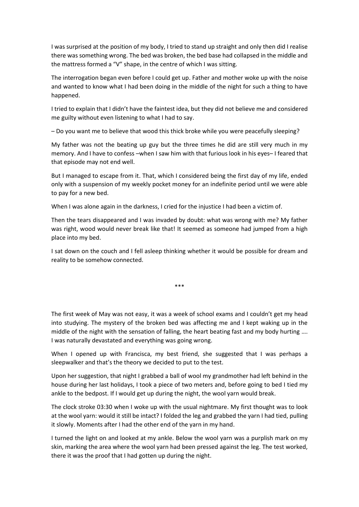I was surprised at the position of my body, I tried to stand up straight and only then did I realise there was something wrong. The bed was broken, the bed base had collapsed in the middle and the mattress formed a "V" shape, in the centre of which I was sitting.

The interrogation began even before I could get up. Father and mother woke up with the noise and wanted to know what I had been doing in the middle of the night for such a thing to have happened.

I tried to explain that I didn't have the faintest idea, but they did not believe me and considered me guilty without even listening to what I had to say.

– Do you want me to believe that wood this thick broke while you were peacefully sleeping?

My father was not the beating up guy but the three times he did are still very much in my memory. And I have to confess –when I saw him with that furious look in his eyes– I feared that that episode may not end well.

But I managed to escape from it. That, which I considered being the first day of my life, ended only with a suspension of my weekly pocket money for an indefinite period until we were able to pay for a new bed.

When I was alone again in the darkness, I cried for the injustice I had been a victim of.

Then the tears disappeared and I was invaded by doubt: what was wrong with me? My father was right, wood would never break like that! It seemed as someone had jumped from a high place into my bed.

I sat down on the couch and I fell asleep thinking whether it would be possible for dream and reality to be somehow connected.

\*\*\*

The first week of May was not easy, it was a week of school exams and I couldn't get my head into studying. The mystery of the broken bed was affecting me and I kept waking up in the middle of the night with the sensation of falling, the heart beating fast and my body hurting …. I was naturally devastated and everything was going wrong.

When I opened up with Francisca, my best friend, she suggested that I was perhaps a sleepwalker and that's the theory we decided to put to the test.

Upon her suggestion, that night I grabbed a ball of wool my grandmother had left behind in the house during her last holidays, I took a piece of two meters and, before going to bed I tied my ankle to the bedpost. If I would get up during the night, the wool yarn would break.

The clock stroke 03:30 when I woke up with the usual nightmare. My first thought was to look at the wool yarn: would it still be intact? I folded the leg and grabbed the yarn I had tied, pulling it slowly. Moments after I had the other end of the yarn in my hand.

I turned the light on and looked at my ankle. Below the wool yarn was a purplish mark on my skin, marking the area where the wool yarn had been pressed against the leg. The test worked, there it was the proof that I had gotten up during the night.